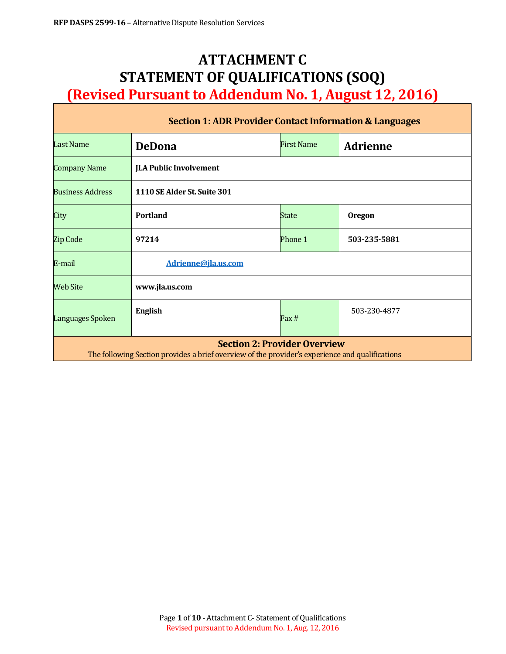# **ATTACHMENT C STATEMENT OF QUALIFICATIONS (SOQ) (Revised Pursuant to Addendum No. 1, August 12, 2016)**

| <b>Section 1: ADR Provider Contact Information &amp; Languages</b>                                                                     |                               |                   |                 |  |  |
|----------------------------------------------------------------------------------------------------------------------------------------|-------------------------------|-------------------|-----------------|--|--|
| <b>Last Name</b>                                                                                                                       | <b>DeDona</b>                 | <b>First Name</b> | <b>Adrienne</b> |  |  |
| <b>Company Name</b>                                                                                                                    | <b>JLA Public Involvement</b> |                   |                 |  |  |
| <b>Business Address</b>                                                                                                                | 1110 SE Alder St. Suite 301   |                   |                 |  |  |
| City                                                                                                                                   | <b>Portland</b>               | State             | <b>Oregon</b>   |  |  |
| Zip Code                                                                                                                               | 97214                         | Phone 1           | 503-235-5881    |  |  |
| E-mail                                                                                                                                 | Adrienne@jla.us.com           |                   |                 |  |  |
| Web Site                                                                                                                               | www.jla.us.com                |                   |                 |  |  |
| Languages Spoken                                                                                                                       | <b>English</b>                | Fax #             | 503-230-4877    |  |  |
| <b>Section 2: Provider Overview</b><br>The following Section provides a brief overview of the provider's experience and qualifications |                               |                   |                 |  |  |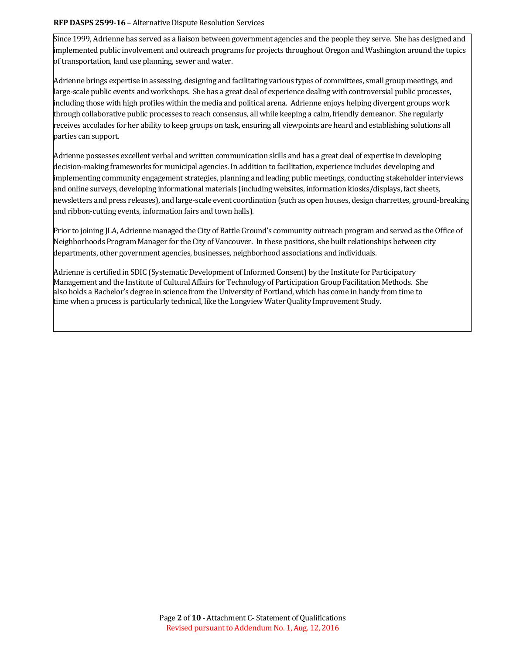#### **RFP DASPS 2599-16 - Alternative Dispute Resolution Services**

Since 1999, Adrienne has served as a liaison between government agencies and the people they serve. She has designed and implemented public involvement and outreach programs for projects throughout Oregon and Washington around the topics of transportation, land use planning, sewer and water.

Adrienne brings expertise in assessing, designing and facilitating various types of committees, small group meetings, and large-scale public events and workshops. She has a great deal of experience dealing with controversial public processes, including those with high profiles within the media and political arena. Adrienne enjoys helping divergent groups work through collaborative public processes to reach consensus, all while keeping a calm, friendly demeanor. She regularly receives accolades for her ability to keep groups on task, ensuring all viewpoints are heard and establishing solutions all parties can support.

Adrienne possesses excellent verbal and written communication skills and has a great deal of expertise in developing decision-making frameworks for municipal agencies. In addition to facilitation, experience includes developing and implementing community engagement strategies, planning and leading public meetings, conducting stakeholder interviews and online surveys, developing informational materials (including websites, information kiosks/displays, fact sheets, newsletters and press releases), and large-scale event coordination (such as open houses, design charrettes, ground-breaking and ribbon-cutting events, information fairs and town halls).

Prior to joining JLA, Adrienne managed the City of Battle Ground's community outreach program and served as the Office of Neighborhoods Program Manager for the City of Vancouver. In these positions, she built relationships between city departments, other government agencies, businesses, neighborhood associations and individuals.

Adrienne is certified in SDIC (Systematic Development of Informed Consent) by the Institute for Participatory Management and the Institute of Cultural Affairs for Technology of Participation Group Facilitation Methods. She also holds a Bachelor's degree in science from the University of Portland, which has come in handy from time to time when a process is particularly technical, like the Longview Water Quality Improvement Study.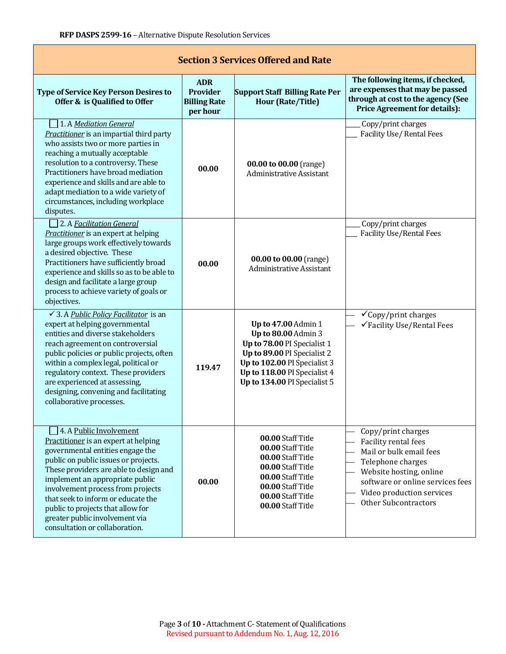| <b>Section 3 Services Offered and Rate</b>                                                                                                                                                                                                                                                                                                                                                                   |                                                                  |                                                                                                                                                                                                                 |                                                                                                                                                                                                                       |  |  |  |
|--------------------------------------------------------------------------------------------------------------------------------------------------------------------------------------------------------------------------------------------------------------------------------------------------------------------------------------------------------------------------------------------------------------|------------------------------------------------------------------|-----------------------------------------------------------------------------------------------------------------------------------------------------------------------------------------------------------------|-----------------------------------------------------------------------------------------------------------------------------------------------------------------------------------------------------------------------|--|--|--|
| <b>Type of Service Key Person Desires to</b><br>Offer & is Qualified to Offer                                                                                                                                                                                                                                                                                                                                | <b>ADR</b><br><b>Provider</b><br><b>Billing Rate</b><br>per hour | <b>Support Staff Billing Rate Per</b><br><b>Hour (Rate/Title)</b>                                                                                                                                               | The following items, if checked,<br>are expenses that may be passed<br>through at cost to the agency (See<br><b>Price Agreement for details):</b>                                                                     |  |  |  |
| 1. A Mediation General<br>Practitioner is an impartial third party<br>who assists two or more parties in<br>reaching a mutually acceptable<br>resolution to a controversy. These<br>Practitioners have broad mediation<br>experience and skills and are able to<br>adapt mediation to a wide variety of<br>circumstances, including workplace<br>disputes.                                                   | 00.00                                                            | 00.00 to 00.00 (range)<br><b>Administrative Assistant</b>                                                                                                                                                       | Copy/print charges<br><b>Facility Use/ Rental Fees</b>                                                                                                                                                                |  |  |  |
| 2. A Facilitation General<br>Practitioner is an expert at helping<br>large groups work effectively towards<br>a desired objective. These<br>Practitioners have sufficiently broad<br>experience and skills so as to be able to<br>design and facilitate a large group<br>process to achieve variety of goals or<br>objectives.                                                                               | 00.00                                                            | 00.00 to 00.00 (range)<br>Administrative Assistant                                                                                                                                                              | Copy/print charges<br><b>Facility Use/Rental Fees</b>                                                                                                                                                                 |  |  |  |
| $\checkmark$ 3. A <i>Public Policy Facilitator</i> is an<br>expert at helping governmental<br>entities and diverse stakeholders<br>reach agreement on controversial<br>public policies or public projects, often<br>within a complex legal, political or<br>regulatory context. These providers<br>are experienced at assessing,<br>designing, convening and facilitating<br>collaborative processes.        | 119.47                                                           | <b>Up to 47.00 Admin 1</b><br>Up to 80.00 Admin 3<br>Up to 78.00 PI Specialist 1<br>Up to 89.00 PI Specialist 2<br>Up to 102.00 PI Specialist 3<br>Up to 118.00 PI Specialist 4<br>Up to 134.00 PI Specialist 5 | $\checkmark$ Copy/print charges<br>√Facility Use/Rental Fees                                                                                                                                                          |  |  |  |
| 4. A Public Involvement<br>Practitioner is an expert at helping<br>governmental entities engage the<br>public on public issues or projects.<br>These providers are able to design and<br>implement an appropriate public<br>involvement process from projects<br>that seek to inform or educate the<br>public to projects that allow for<br>greater public involvement via<br>consultation or collaboration. | 00.00                                                            | 00.00 Staff Title<br>00.00 Staff Title<br>00.00 Staff Title<br>00.00 Staff Title<br>00.00 Staff Title<br>00.00 Staff Title<br>00.00 Staff Title<br>00.00 Staff Title                                            | Copy/print charges<br>Facility rental fees<br>Mail or bulk email fees<br>Telephone charges<br>Website hosting, online<br>software or online services fees<br>Video production services<br><b>Other Subcontractors</b> |  |  |  |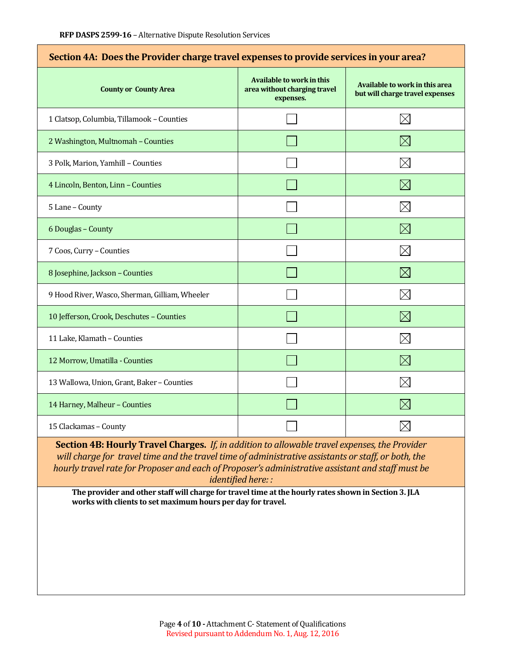| Section 4A: Does the Provider charge travel expenses to provide services in your area? |                                                                               |                                                                   |  |  |
|----------------------------------------------------------------------------------------|-------------------------------------------------------------------------------|-------------------------------------------------------------------|--|--|
| <b>County or County Area</b>                                                           | <b>Available to work in this</b><br>area without charging travel<br>expenses. | Available to work in this area<br>but will charge travel expenses |  |  |
| 1 Clatsop, Columbia, Tillamook - Counties                                              |                                                                               | $\times$                                                          |  |  |
| 2 Washington, Multnomah - Counties                                                     |                                                                               | $\boxtimes$                                                       |  |  |
| 3 Polk, Marion, Yamhill - Counties                                                     |                                                                               | $\times$                                                          |  |  |
| 4 Lincoln, Benton, Linn - Counties                                                     |                                                                               | $\boxtimes$                                                       |  |  |
| 5 Lane - County                                                                        |                                                                               | $\boxtimes$                                                       |  |  |
| 6 Douglas - County                                                                     |                                                                               | $\boxtimes$                                                       |  |  |
| 7 Coos, Curry - Counties                                                               |                                                                               | $\boxtimes$                                                       |  |  |
| 8 Josephine, Jackson - Counties                                                        |                                                                               | $\boxtimes$                                                       |  |  |
| 9 Hood River, Wasco, Sherman, Gilliam, Wheeler                                         |                                                                               | $\times$                                                          |  |  |
| 10 Jefferson, Crook, Deschutes - Counties                                              |                                                                               | $\boxtimes$                                                       |  |  |
| 11 Lake, Klamath - Counties                                                            |                                                                               | $\boxtimes$                                                       |  |  |
| 12 Morrow, Umatilla - Counties                                                         |                                                                               | $\boxtimes$                                                       |  |  |
| 13 Wallowa, Union, Grant, Baker - Counties                                             |                                                                               | $\boxtimes$                                                       |  |  |
| 14 Harney, Malheur - Counties                                                          |                                                                               | $\times$                                                          |  |  |
| 15 Clackamas - County                                                                  |                                                                               |                                                                   |  |  |

**Section 4B: Hourly Travel Charges.** *If, in addition to allowable travel expenses, the Provider will charge for travel time and the travel time of administrative assistants or staff, or both, the hourly travel rate for Proposer and each of Proposer's administrative assistant and staff must be identified here: :*

**The provider and other staff will charge for travel time at the hourly rates shown in Section 3. JLA works with clients to set maximum hours per day for travel.**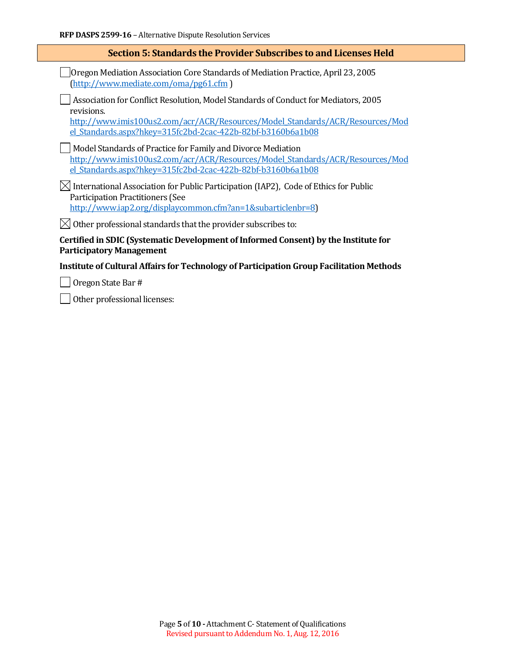#### **Section 5: Standards the Provider Subscribes to and Licenses Held**

Oregon Mediation Association Core Standards of Mediation Practice, April 23, 2005 [\(http://www.mediate.com/oma/pg61.cfm](http://www.mediate.com/oma/pg61.cfm) )

Association for Conflict Resolution, Model Standards of Conduct for Mediators, 2005 revisions.

[http://www.imis100us2.com/acr/ACR/Resources/Model\\_Standards/ACR/Resources/Mod](http://www.imis100us2.com/acr/ACR/Resources/Model_Standards/ACR/Resources/Model_Standards.aspx?hkey=315fc2bd-2cac-422b-82bf-b3160b6a1b08) [el\\_Standards.aspx?hkey=315fc2bd-2cac-422b-82bf-b3160b6a1b08](http://www.imis100us2.com/acr/ACR/Resources/Model_Standards/ACR/Resources/Model_Standards.aspx?hkey=315fc2bd-2cac-422b-82bf-b3160b6a1b08)

Model Standards of Practice for Family and Divorce Mediation [http://www.imis100us2.com/acr/ACR/Resources/Model\\_Standards/ACR/Resources/Mod](http://www.imis100us2.com/acr/ACR/Resources/Model_Standards/ACR/Resources/Model_Standards.aspx?hkey=315fc2bd-2cac-422b-82bf-b3160b6a1b08) [el\\_Standards.aspx?hkey=315fc2bd-2cac-422b-82bf-b3160b6a1b08](http://www.imis100us2.com/acr/ACR/Resources/Model_Standards/ACR/Resources/Model_Standards.aspx?hkey=315fc2bd-2cac-422b-82bf-b3160b6a1b08)

 $\boxtimes$  International Association for Public Participation (IAP2), Code of Ethics for Public Participation Practitioners (See [http://www.iap2.org/displaycommon.cfm?an=1&subarticlenbr=8\)](http://www.iap2.org/displaycommon.cfm?an=1&subarticlenbr=8)

 $\boxtimes$  Other professional standards that the provider subscribes to:

**Certified in SDIC (Systematic Development of Informed Consent) by the Institute for Participatory Management**

#### **Institute of Cultural Affairs for Technology of Participation Group Facilitation Methods**

Oregon State Bar #

Other professional licenses: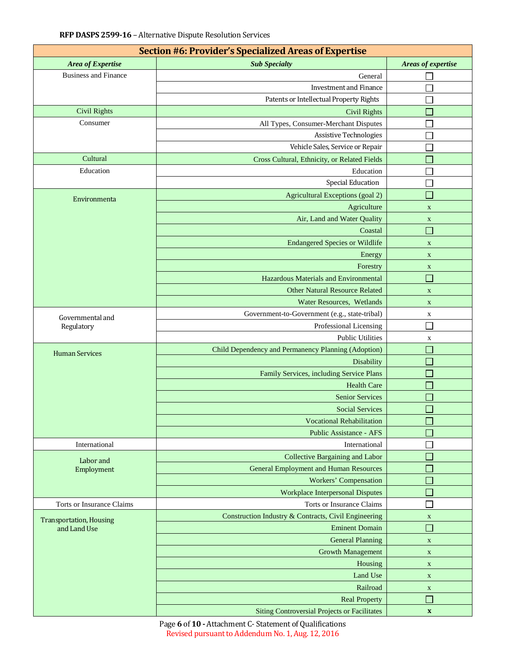| Section #6: Provider's Specialized Areas of Expertise |                                                      |                             |  |  |  |  |
|-------------------------------------------------------|------------------------------------------------------|-----------------------------|--|--|--|--|
| Area of Expertise                                     | <b>Sub Specialty</b>                                 | Areas of expertise          |  |  |  |  |
| <b>Business and Finance</b>                           | General                                              |                             |  |  |  |  |
|                                                       | <b>Investment and Finance</b>                        |                             |  |  |  |  |
|                                                       | Patents or Intellectual Property Rights              |                             |  |  |  |  |
| <b>Civil Rights</b>                                   | <b>Civil Rights</b>                                  |                             |  |  |  |  |
| Consumer                                              | All Types, Consumer-Merchant Disputes                |                             |  |  |  |  |
|                                                       | <b>Assistive Technologies</b>                        |                             |  |  |  |  |
|                                                       | Vehicle Sales, Service or Repair                     |                             |  |  |  |  |
| Cultural                                              | Cross Cultural, Ethnicity, or Related Fields         | П                           |  |  |  |  |
| Education                                             | Education                                            |                             |  |  |  |  |
|                                                       | <b>Special Education</b>                             |                             |  |  |  |  |
|                                                       | Agricultural Exceptions (goal 2)                     |                             |  |  |  |  |
| Environmenta                                          | Agriculture                                          | $\mathbf X$                 |  |  |  |  |
|                                                       | Air, Land and Water Quality                          | $\mathbf X$                 |  |  |  |  |
|                                                       | Coastal                                              | $\mathcal{A}$               |  |  |  |  |
|                                                       | <b>Endangered Species or Wildlife</b>                | $\mathbf X$                 |  |  |  |  |
|                                                       | Energy                                               | $\mathbf X$                 |  |  |  |  |
|                                                       | Forestry                                             | $\mathbf X$                 |  |  |  |  |
|                                                       | Hazardous Materials and Environmental                | $\Box$                      |  |  |  |  |
|                                                       | <b>Other Natural Resource Related</b>                | $\mathbf X$                 |  |  |  |  |
|                                                       | Water Resources, Wetlands                            | $\mathbf X$                 |  |  |  |  |
|                                                       | Government-to-Government (e.g., state-tribal)        | X                           |  |  |  |  |
| Governmental and<br>Regulatory                        | Professional Licensing                               |                             |  |  |  |  |
|                                                       | <b>Public Utilities</b>                              | $\mathbf X$                 |  |  |  |  |
|                                                       | Child Dependency and Permanency Planning (Adoption)  |                             |  |  |  |  |
| <b>Human Services</b>                                 | Disability                                           |                             |  |  |  |  |
|                                                       | Family Services, including Service Plans             | $\mathcal{L}_{\mathcal{A}}$ |  |  |  |  |
|                                                       | <b>Health Care</b>                                   |                             |  |  |  |  |
|                                                       | <b>Senior Services</b>                               | $\Box$                      |  |  |  |  |
|                                                       | <b>Social Services</b>                               |                             |  |  |  |  |
|                                                       | <b>Vocational Rehabilitation</b>                     |                             |  |  |  |  |
|                                                       | <b>Public Assistance - AFS</b>                       |                             |  |  |  |  |
| International                                         | International                                        |                             |  |  |  |  |
|                                                       | Collective Bargaining and Labor                      |                             |  |  |  |  |
| Labor and<br>Employment                               | <b>General Employment and Human Resources</b>        |                             |  |  |  |  |
|                                                       | <b>Workers' Compensation</b>                         |                             |  |  |  |  |
|                                                       | <b>Workplace Interpersonal Disputes</b>              |                             |  |  |  |  |
| <b>Torts or Insurance Claims</b>                      | Torts or Insurance Claims                            |                             |  |  |  |  |
|                                                       | Construction Industry & Contracts, Civil Engineering | $\mathbf X$                 |  |  |  |  |
| <b>Transportation, Housing</b><br>and Land Use        | <b>Eminent Domain</b>                                | <b>T</b>                    |  |  |  |  |
|                                                       | <b>General Planning</b>                              | $\mathbf X$                 |  |  |  |  |
|                                                       | <b>Growth Management</b>                             | $\mathbf X$                 |  |  |  |  |
|                                                       | Housing                                              | $\mathbf X$                 |  |  |  |  |
|                                                       | Land Use                                             | $\mathbf X$                 |  |  |  |  |
|                                                       | Railroad                                             | $\mathbf X$                 |  |  |  |  |
|                                                       | <b>Real Property</b>                                 | ×.                          |  |  |  |  |
|                                                       | <b>Siting Controversial Projects or Facilitates</b>  | $\boldsymbol{\mathrm{X}}$   |  |  |  |  |

Page **6** of **10 -** Attachment C- Statement of Qualifications Revised pursuant to Addendum No. 1, Aug. 12, 2016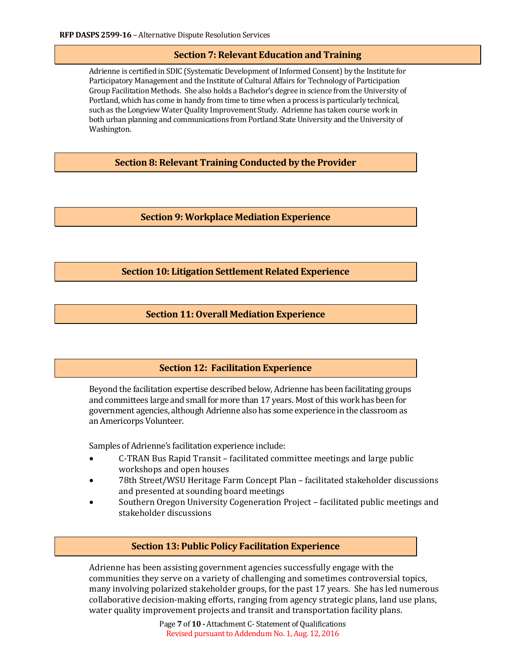#### **Section 7: Relevant Education and Training**

Adrienne is certified in SDIC (Systematic Development of Informed Consent) by the Institute for Participatory Management and the Institute of Cultural Affairs for Technology of Participation Group Facilitation Methods. She also holds a Bachelor's degree in science from the University of Portland, which has come in handy from time to time when a process is particularly technical, such as the Longview Water Quality Improvement Study. Adrienne has taken course work in both urban planning and communications from Portland State University and the University of Washington.

**Section 8: Relevant Training Conducted by the Provider**

**Section 9: Workplace Mediation Experience**

**Section 10: Litigation Settlement Related Experience** 

#### **Section 11: Overall Mediation Experience**

#### **Section 12: Facilitation Experience**

Beyond the facilitation expertise described below, Adrienne has been facilitating groups and committees large and small for more than 17 years. Most of this work has been for government agencies, although Adrienne also has some experience in the classroom as an Americorps Volunteer.

Samples of Adrienne's facilitation experience include:

- C-TRAN Bus Rapid Transit facilitated committee meetings and large public workshops and open houses
- 78th Street/WSU Heritage Farm Concept Plan facilitated stakeholder discussions and presented at sounding board meetings
- Southern Oregon University Cogeneration Project facilitated public meetings and stakeholder discussions

### **Section 13: Public Policy Facilitation Experience**

Adrienne has been assisting government agencies successfully engage with the communities they serve on a variety of challenging and sometimes controversial topics, many involving polarized stakeholder groups, for the past 17 years. She has led numerous collaborative decision-making efforts, ranging from agency strategic plans, land use plans, water quality improvement projects and transit and transportation facility plans.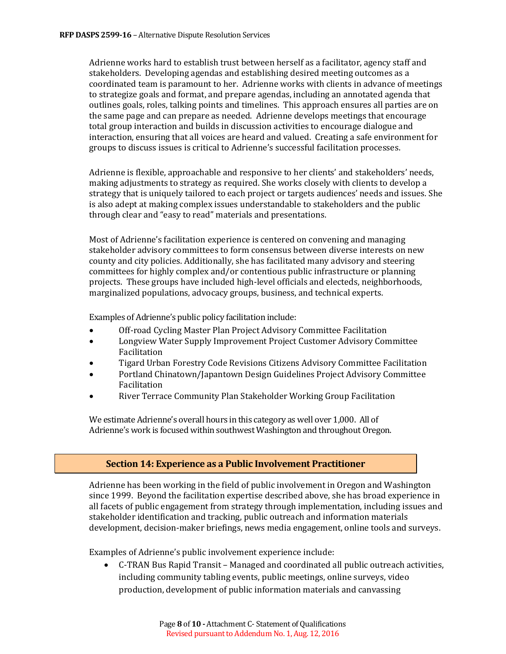Adrienne works hard to establish trust between herself as a facilitator, agency staff and stakeholders. Developing agendas and establishing desired meeting outcomes as a coordinated team is paramount to her. Adrienne works with clients in advance of meetings to strategize goals and format, and prepare agendas, including an annotated agenda that outlines goals, roles, talking points and timelines. This approach ensures all parties are on the same page and can prepare as needed. Adrienne develops meetings that encourage total group interaction and builds in discussion activities to encourage dialogue and interaction, ensuring that all voices are heard and valued. Creating a safe environment for groups to discuss issues is critical to Adrienne's successful facilitation processes.

Adrienne is flexible, approachable and responsive to her clients' and stakeholders' needs, making adjustments to strategy as required. She works closely with clients to develop a strategy that is uniquely tailored to each project or targets audiences' needs and issues. She is also adept at making complex issues understandable to stakeholders and the public through clear and "easy to read" materials and presentations.

Most of Adrienne's facilitation experience is centered on convening and managing stakeholder advisory committees to form consensus between diverse interests on new county and city policies. Additionally, she has facilitated many advisory and steering committees for highly complex and/or contentious public infrastructure or planning projects. These groups have included high-level officials and electeds, neighborhoods, marginalized populations, advocacy groups, business, and technical experts.

Examples of Adrienne's public policy facilitation include:

- Off-road Cycling Master Plan Project Advisory Committee Facilitation
- Longview Water Supply Improvement Project Customer Advisory Committee Facilitation
- Tigard Urban Forestry Code Revisions Citizens Advisory Committee Facilitation
- Portland Chinatown/Japantown Design Guidelines Project Advisory Committee Facilitation
- River Terrace Community Plan Stakeholder Working Group Facilitation

We estimate Adrienne's overall hours in this category as well over 1,000. All of Adrienne's work is focused within southwest Washington and throughout Oregon.

## **Section 14: Experience as a Public Involvement Practitioner**

Adrienne has been working in the field of public involvement in Oregon and Washington since 1999. Beyond the facilitation expertise described above, she has broad experience in all facets of public engagement from strategy through implementation, including issues and stakeholder identification and tracking, public outreach and information materials development, decision-maker briefings, news media engagement, online tools and surveys.

Examples of Adrienne's public involvement experience include:

• C-TRAN Bus Rapid Transit – Managed and coordinated all public outreach activities, including community tabling events, public meetings, online surveys, video production, development of public information materials and canvassing